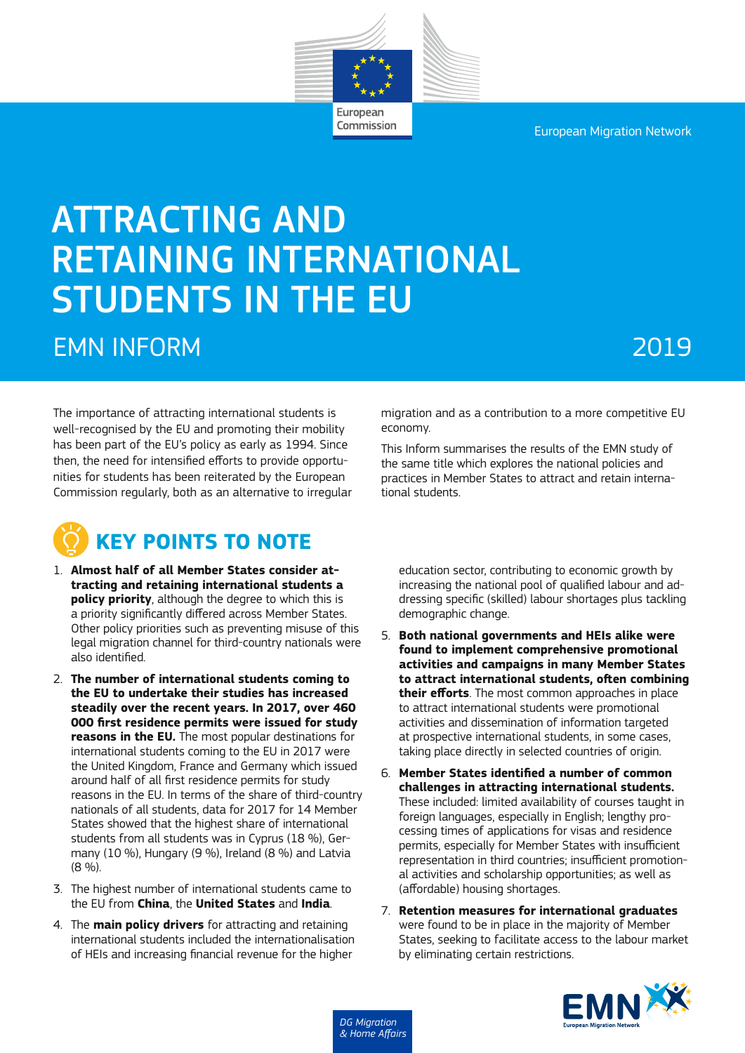European Migration Network



Commission

# ATTRACTING AND RETAINING INTERNATIONAL STUDENTS IN THE EU EMN INFORM 2019

The importance of attracting international students is well-recognised by the EU and promoting their mobility has been part of the EU's policy as early as 1994. Since then, the need for intensified efforts to provide opportunities for students has been reiterated by the European Commission regularly, both as an alternative to irregular



- 1. **Almost half of all Member States consider attracting and retaining international students a policy priority**, although the degree to which this is a priority significantly differed across Member States. Other policy priorities such as preventing misuse of this legal migration channel for third-country nationals were also identified.
- 2. **The number of international students coming to the EU to undertake their studies has increased steadily over the recent years. In 2017, over 460 000 first residence permits were issued for study reasons in the EU.** The most popular destinations for international students coming to the EU in 2017 were the United Kingdom, France and Germany which issued around half of all first residence permits for study reasons in the EU. In terms of the share of third-country nationals of all students, data for 2017 for 14 Member States showed that the highest share of international students from all students was in Cyprus (18 %), Germany (10 %), Hungary (9 %), Ireland (8 %) and Latvia (8 %).
- 3. The highest number of international students came to the EU from **China**, the **United States** and **India**.
- 4. The **main policy drivers** for attracting and retaining international students included the internationalisation of HEIs and increasing financial revenue for the higher

migration and as a contribution to a more competitive EU economy.

This Inform summarises the results of the EMN study of the same title which explores the national policies and practices in Member States to attract and retain international students.

education sector, contributing to economic growth by increasing the national pool of qualified labour and addressing specific (skilled) labour shortages plus tackling demographic change.

- 5. **Both national governments and HEIs alike were found to implement comprehensive promotional activities and campaigns in many Member States to attract international students, often combining their efforts**. The most common approaches in place to attract international students were promotional activities and dissemination of information targeted at prospective international students, in some cases, taking place directly in selected countries of origin.
- 6. **Member States identified a number of common challenges in attracting international students.**  These included: limited availability of courses taught in foreign languages, especially in English; lengthy processing times of applications for visas and residence permits, especially for Member States with insufficient representation in third countries; insufficient promotional activities and scholarship opportunities; as well as (affordable) housing shortages.
- 7. **Retention measures for international graduates**  were found to be in place in the majority of Member States, seeking to facilitate access to the labour market by eliminating certain restrictions.

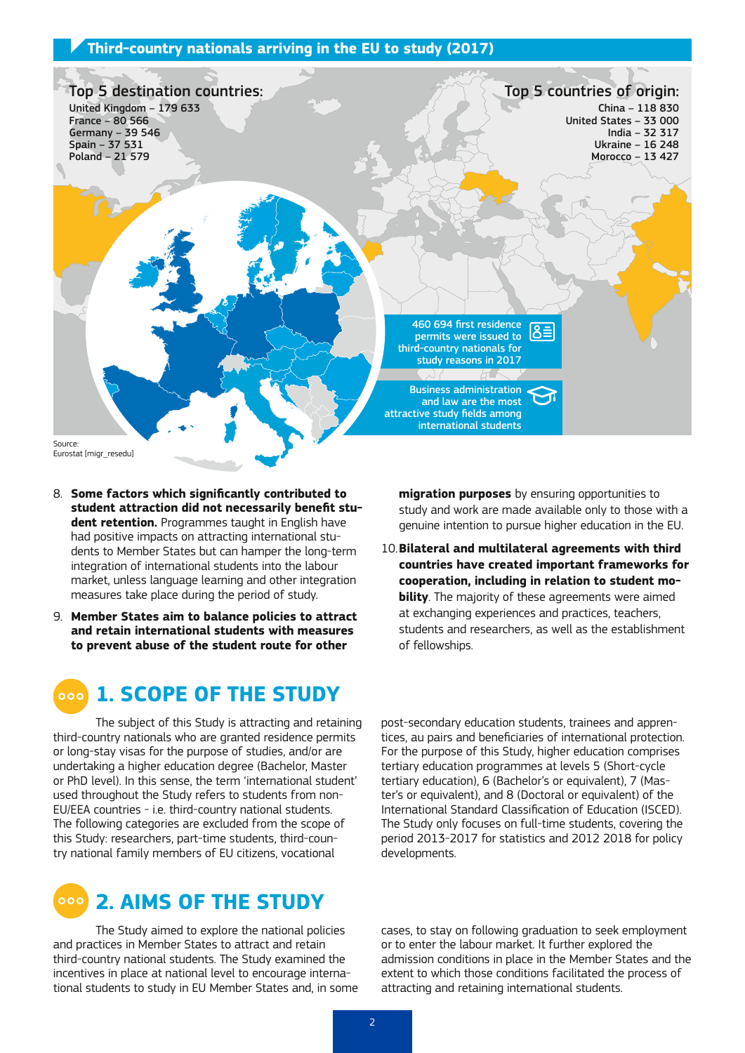#### **Third-country nationals arriving in the EU to study (2017)**



Eurostat [migr\_resedu]

- 8. **Some factors which significantly contributed to student attraction did not necessarily benefit student retention.** Programmes taught in English have had positive impacts on attracting international students to Member States but can hamper the long-term integration of international students into the labour market, unless language learning and other integration measures take place during the period of study.
- 9. **Member States aim to balance policies to attract and retain international students with measures to prevent abuse of the student route for other**

**migration purposes** by ensuring opportunities to study and work are made available only to those with a genuine intention to pursue higher education in the EU.

10.**Bilateral and multilateral agreements with third countries have created important frameworks for cooperation, including in relation to student mobility**. The majority of these agreements were aimed at exchanging experiences and practices, teachers, students and researchers, as well as the establishment of fellowships.

#### **1. SCOPE OF THE STUDY**  $000$

The subject of this Study is attracting and retaining third-country nationals who are granted residence permits or long-stay visas for the purpose of studies, and/or are undertaking a higher education degree (Bachelor, Master or PhD level). In this sense, the term 'international student' used throughout the Study refers to students from non-EU/EEA countries - i.e. third-country national students. The following categories are excluded from the scope of this Study: researchers, part-time students, third-country national family members of EU citizens, vocational



The Study aimed to explore the national policies and practices in Member States to attract and retain third-country national students. The Study examined the incentives in place at national level to encourage international students to study in EU Member States and, in some

post-secondary education students, trainees and apprentices, au pairs and beneficiaries of international protection. For the purpose of this Study, higher education comprises tertiary education programmes at levels 5 (Short-cycle tertiary education), 6 (Bachelor's or equivalent), 7 (Master's or equivalent), and 8 (Doctoral or equivalent) of the International Standard Classification of Education (ISCED). The Study only focuses on full-time students, covering the period 2013-2017 for statistics and 2012 2018 for policy developments.

cases, to stay on following graduation to seek employment or to enter the labour market. It further explored the admission conditions in place in the Member States and the extent to which those conditions facilitated the process of attracting and retaining international students.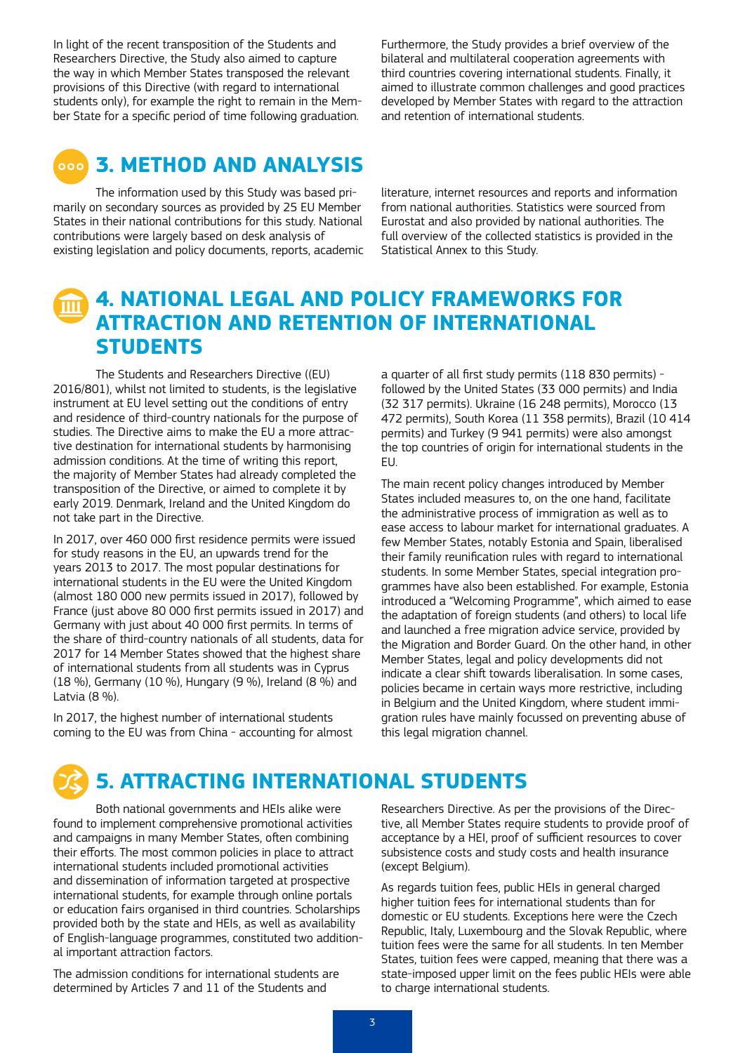In light of the recent transposition of the Students and Researchers Directive, the Study also aimed to capture the way in which Member States transposed the relevant provisions of this Directive (with regard to international students only), for example the right to remain in the Member State for a specific period of time following graduation.

Furthermore, the Study provides a brief overview of the bilateral and multilateral cooperation agreements with third countries covering international students. Finally, it aimed to illustrate common challenges and good practices developed by Member States with regard to the attraction and retention of international students.



### **3. METHOD AND ANALYSIS**

The information used by this Study was based primarily on secondary sources as provided by 25 EU Member States in their national contributions for this study. National contributions were largely based on desk analysis of existing legislation and policy documents, reports, academic

literature, internet resources and reports and information from national authorities. Statistics were sourced from Eurostat and also provided by national authorities. The full overview of the collected statistics is provided in the Statistical Annex to this Study.

## **4. NATIONAL LEGAL AND POLICY FRAMEWORKS FOR ATTRACTION AND RETENTION OF INTERNATIONAL STUDENTS**

The Students and Researchers Directive ((EU) 2016/801), whilst not limited to students, is the legislative instrument at EU level setting out the conditions of entry and residence of third-country nationals for the purpose of studies. The Directive aims to make the EU a more attractive destination for international students by harmonising admission conditions. At the time of writing this report, the majority of Member States had already completed the transposition of the Directive, or aimed to complete it by early 2019. Denmark, Ireland and the United Kingdom do not take part in the Directive.

In 2017, over 460 000 first residence permits were issued for study reasons in the EU, an upwards trend for the years 2013 to 2017. The most popular destinations for international students in the EU were the United Kingdom (almost 180 000 new permits issued in 2017), followed by France (just above 80 000 first permits issued in 2017) and Germany with just about 40 000 first permits. In terms of the share of third-country nationals of all students, data for 2017 for 14 Member States showed that the highest share of international students from all students was in Cyprus (18 %), Germany (10 %), Hungary (9 %), Ireland (8 %) and Latvia (8 %).

In 2017, the highest number of international students coming to the EU was from China - accounting for almost a quarter of all first study permits (118 830 permits) followed by the United States (33 000 permits) and India (32 317 permits). Ukraine (16 248 permits), Morocco (13 472 permits), South Korea (11 358 permits), Brazil (10 414 permits) and Turkey (9 941 permits) were also amongst the top countries of origin for international students in the EU.

The main recent policy changes introduced by Member States included measures to, on the one hand, facilitate the administrative process of immigration as well as to ease access to labour market for international graduates. A few Member States, notably Estonia and Spain, liberalised their family reunification rules with regard to international students. In some Member States, special integration programmes have also been established. For example, Estonia introduced a "Welcoming Programme", which aimed to ease the adaptation of foreign students (and others) to local life and launched a free migration advice service, provided by the Migration and Border Guard. On the other hand, in other Member States, legal and policy developments did not indicate a clear shift towards liberalisation. In some cases, policies became in certain ways more restrictive, including in Belgium and the United Kingdom, where student immigration rules have mainly focussed on preventing abuse of this legal migration channel.

# **5. ATTRACTING INTERNATIONAL STUDENTS**

Both national governments and HEIs alike were found to implement comprehensive promotional activities and campaigns in many Member States, often combining their efforts. The most common policies in place to attract international students included promotional activities and dissemination of information targeted at prospective international students, for example through online portals or education fairs organised in third countries. Scholarships provided both by the state and HEIs, as well as availability of English-language programmes, constituted two additional important attraction factors.

The admission conditions for international students are determined by Articles 7 and 11 of the Students and

Researchers Directive. As per the provisions of the Directive, all Member States require students to provide proof of acceptance by a HEI, proof of sufficient resources to cover subsistence costs and study costs and health insurance (except Belgium).

As regards tuition fees, public HEIs in general charged higher tuition fees for international students than for domestic or EU students. Exceptions here were the Czech Republic, Italy, Luxembourg and the Slovak Republic, where tuition fees were the same for all students. In ten Member States, tuition fees were capped, meaning that there was a state-imposed upper limit on the fees public HEIs were able to charge international students.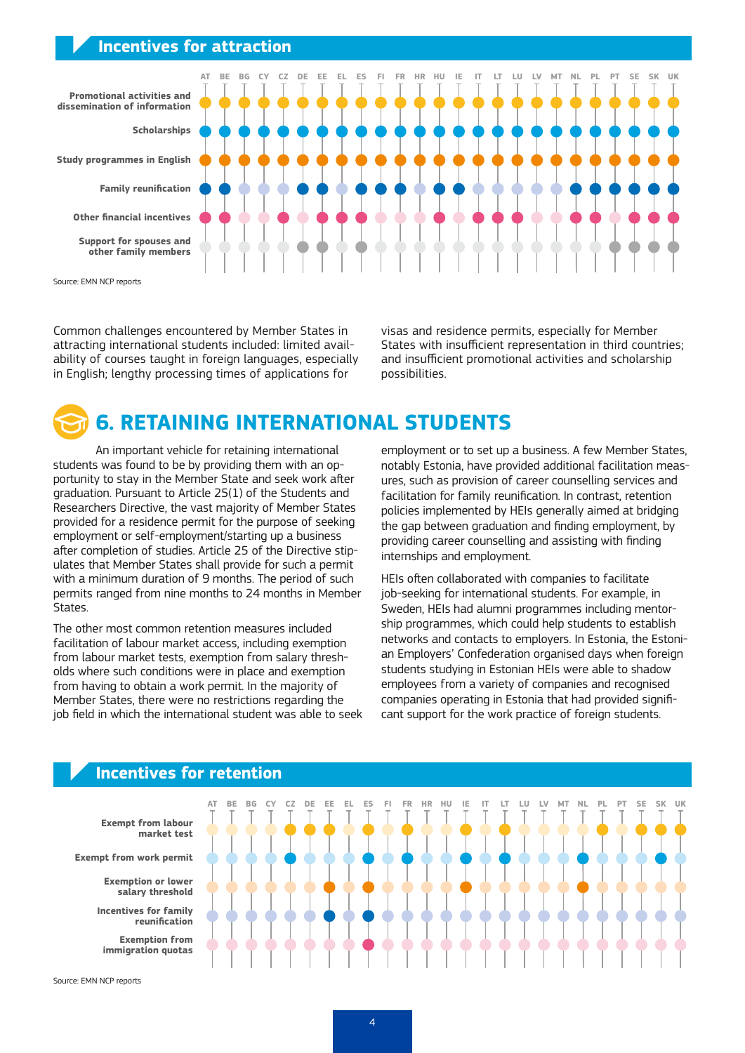#### **Incentives for attraction**



Common challenges encountered by Member States in attracting international students included: limited availability of courses taught in foreign languages, especially in English; lengthy processing times of applications for

visas and residence permits, especially for Member States with insufficient representation in third countries; and insufficient promotional activities and scholarship possibilities.

# **6. RETAINING INTERNATIONAL STUDENTS**

An important vehicle for retaining international students was found to be by providing them with an opportunity to stay in the Member State and seek work after graduation. Pursuant to Article 25(1) of the Students and Researchers Directive, the vast majority of Member States provided for a residence permit for the purpose of seeking employment or self-employment/starting up a business after completion of studies. Article 25 of the Directive stipulates that Member States shall provide for such a permit with a minimum duration of 9 months. The period of such permits ranged from nine months to 24 months in Member States.

The other most common retention measures included facilitation of labour market access, including exemption from labour market tests, exemption from salary thresholds where such conditions were in place and exemption from having to obtain a work permit. In the majority of Member States, there were no restrictions regarding the job field in which the international student was able to seek employment or to set up a business. A few Member States, notably Estonia, have provided additional facilitation measures, such as provision of career counselling services and facilitation for family reunification. In contrast, retention policies implemented by HEIs generally aimed at bridging the gap between graduation and finding employment, by providing career counselling and assisting with finding internships and employment.

HEIs often collaborated with companies to facilitate job-seeking for international students. For example, in Sweden, HEIs had alumni programmes including mentorship programmes, which could help students to establish networks and contacts to employers. In Estonia, the Estonian Employers' Confederation organised days when foreign students studying in Estonian HEIs were able to shadow employees from a variety of companies and recognised companies operating in Estonia that had provided significant support for the work practice of foreign students.



#### **Incentives for retention**

Source: EMN NCP reports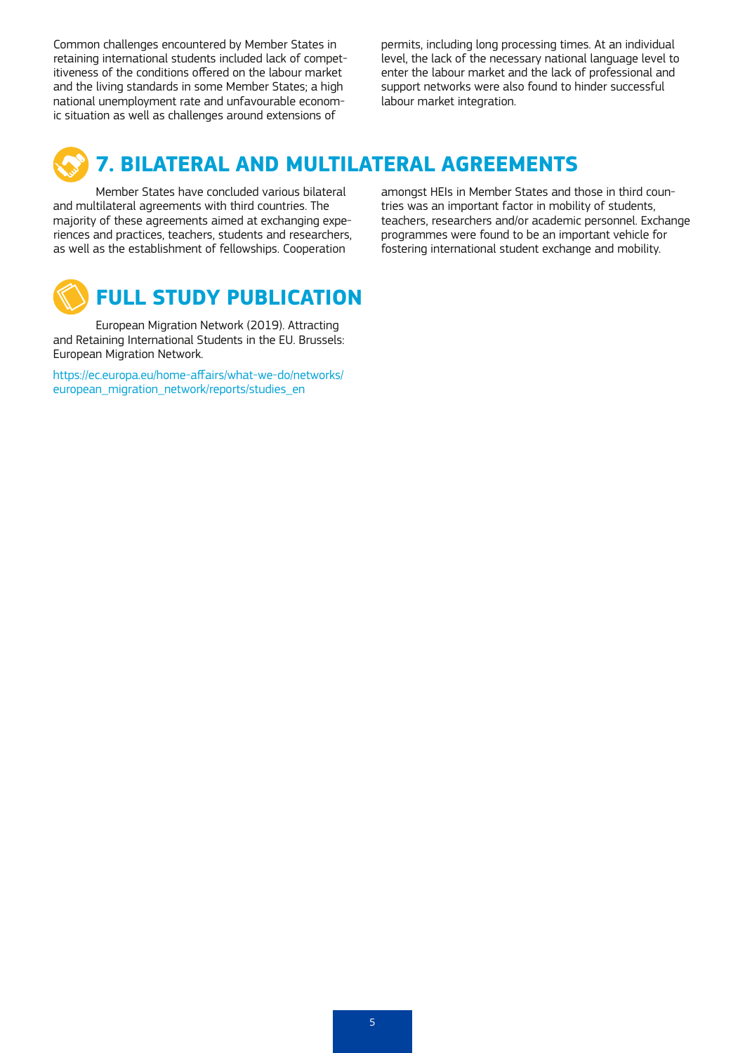Common challenges encountered by Member States in retaining international students included lack of competitiveness of the conditions offered on the labour market and the living standards in some Member States; a high national unemployment rate and unfavourable economic situation as well as challenges around extensions of

permits, including long processing times. At an individual level, the lack of the necessary national language level to enter the labour market and the lack of professional and support networks were also found to hinder successful labour market integration.

# **7. BILATERAL AND MULTILATERAL AGREEMENTS**

Member States have concluded various bilateral and multilateral agreements with third countries. The majority of these agreements aimed at exchanging experiences and practices, teachers, students and researchers, as well as the establishment of fellowships. Cooperation



European Migration Network (2019). Attracting and Retaining International Students in the EU. Brussels: European Migration Network.

https://ec.europa.eu/home-affairs/what-we-do/networks/ european\_migration\_network/reports/studies\_en

amongst HEIs in Member States and those in third countries was an important factor in mobility of students, teachers, researchers and/or academic personnel. Exchange programmes were found to be an important vehicle for fostering international student exchange and mobility.